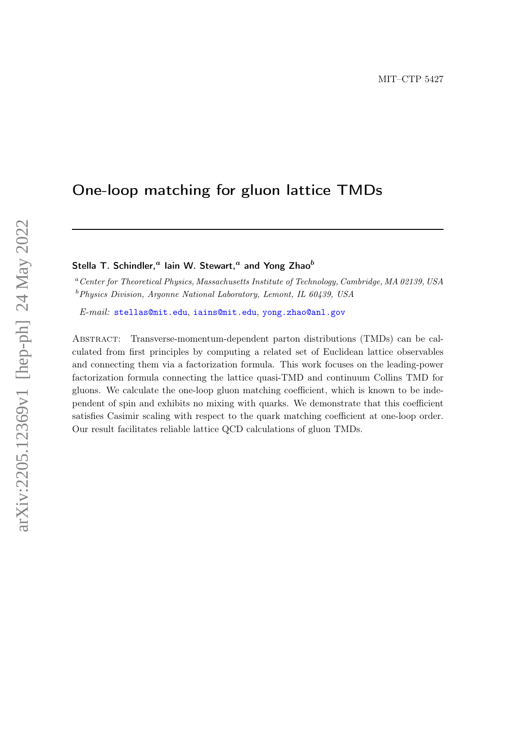# One-loop matching for gluon lattice TMDs

# Stella T. Schindler,<sup>*a*</sup> Iain W. Stewart,<sup>*a*</sup> and Yong Zhao<sup>b</sup>

<sup>a</sup>Center for Theoretical Physics, Massachusetts Institute of Technology, Cambridge, MA 02139, USA  $b$ Physics Division, Argonne National Laboratory, Lemont, IL 60439, USA

E-mail: [stellas@mit.edu](mailto:stellas@mit.edu), [iains@mit.edu](mailto:iains@mit.edu), [yong.zhao@anl.gov](mailto:yong.zhao@anl.gov)

Abstract: Transverse-momentum-dependent parton distributions (TMDs) can be calculated from first principles by computing a related set of Euclidean lattice observables and connecting them via a factorization formula. This work focuses on the leading-power factorization formula connecting the lattice quasi-TMD and continuum Collins TMD for gluons. We calculate the one-loop gluon matching coefficient, which is known to be independent of spin and exhibits no mixing with quarks. We demonstrate that this coefficient satisfies Casimir scaling with respect to the quark matching coefficient at one-loop order. Our result facilitates reliable lattice QCD calculations of gluon TMDs.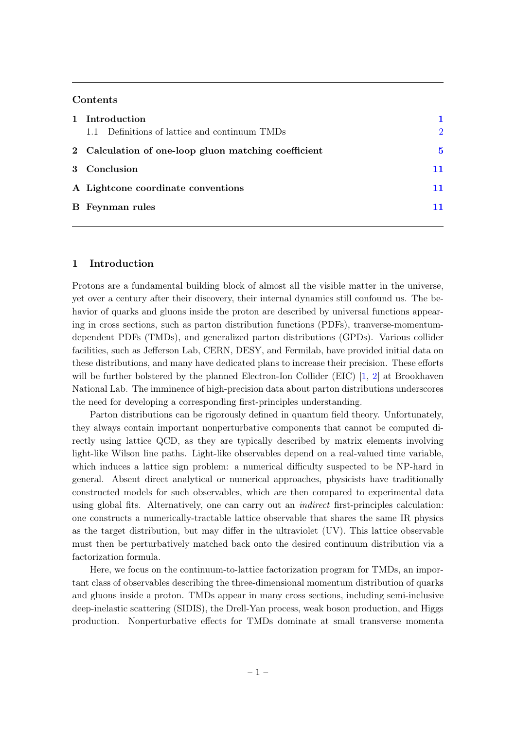# Contents

| 1 Introduction                                       |               |
|------------------------------------------------------|---------------|
| 1.1 Definitions of lattice and continuum TMDs        | $\mathcal{D}$ |
| 2 Calculation of one-loop gluon matching coefficient |               |
| 3 Conclusion                                         |               |
| A Lightcone coordinate conventions                   | 11            |
| <b>B</b> Feynman rules                               |               |
|                                                      |               |

# <span id="page-1-0"></span>1 Introduction

Protons are a fundamental building block of almost all the visible matter in the universe, yet over a century after their discovery, their internal dynamics still confound us. The behavior of quarks and gluons inside the proton are described by universal functions appearing in cross sections, such as parton distribution functions (PDFs), tranverse-momentumdependent PDFs (TMDs), and generalized parton distributions (GPDs). Various collider facilities, such as Jefferson Lab, CERN, DESY, and Fermilab, have provided initial data on these distributions, and many have dedicated plans to increase their precision. These efforts will be further bolstered by the planned Electron-Ion Collider (EIC) [\[1,](#page-12-0) [2\]](#page-12-1) at Brookhaven National Lab. The imminence of high-precision data about parton distributions underscores the need for developing a corresponding first-principles understanding.

Parton distributions can be rigorously defined in quantum field theory. Unfortunately, they always contain important nonperturbative components that cannot be computed directly using lattice QCD, as they are typically described by matrix elements involving light-like Wilson line paths. Light-like observables depend on a real-valued time variable, which induces a lattice sign problem: a numerical difficulty suspected to be NP-hard in general. Absent direct analytical or numerical approaches, physicists have traditionally constructed models for such observables, which are then compared to experimental data using global fits. Alternatively, one can carry out an indirect first-principles calculation: one constructs a numerically-tractable lattice observable that shares the same IR physics as the target distribution, but may differ in the ultraviolet (UV). This lattice observable must then be perturbatively matched back onto the desired continuum distribution via a factorization formula.

Here, we focus on the continuum-to-lattice factorization program for TMDs, an important class of observables describing the three-dimensional momentum distribution of quarks and gluons inside a proton. TMDs appear in many cross sections, including semi-inclusive deep-inelastic scattering (SIDIS), the Drell-Yan process, weak boson production, and Higgs production. Nonperturbative effects for TMDs dominate at small transverse momenta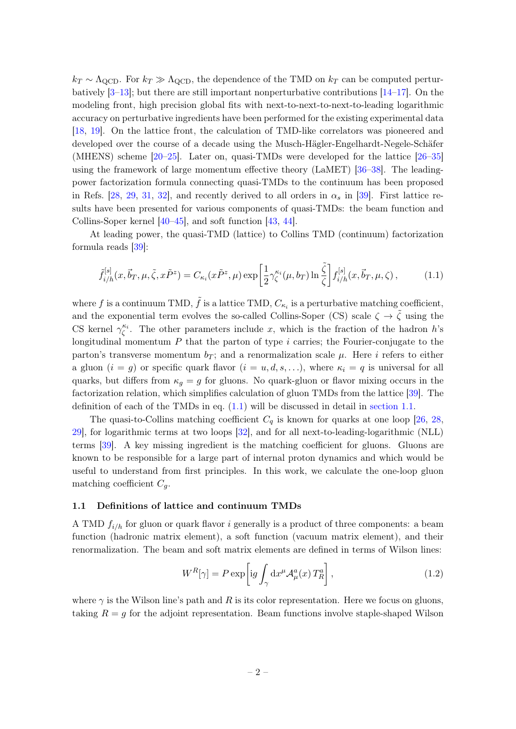$k_T \sim \Lambda_{\rm QCD}$ . For  $k_T \gg \Lambda_{\rm QCD}$ , the dependence of the TMD on  $k_T$  can be computed perturbatively  $[3-13]$  $[3-13]$ ; but there are still important nonperturbative contributions  $[14-17]$  $[14-17]$ . On the modeling front, high precision global fits with next-to-next-to-next-to-leading logarithmic accuracy on perturbative ingredients have been performed for the existing experimental data [\[18,](#page-13-3) [19\]](#page-13-4). On the lattice front, the calculation of TMD-like correlators was pioneered and developed over the course of a decade using the Musch-Hägler-Engelhardt-Negele-Schäfer (MHENS) scheme [\[20](#page-13-5)[–25\]](#page-13-6). Later on, quasi-TMDs were developed for the lattice [\[26–](#page-13-7)[35\]](#page-14-0) using the framework of large momentum effective theory (LaMET) [\[36–](#page-14-1)[38\]](#page-14-2). The leadingpower factorization formula connecting quasi-TMDs to the continuum has been proposed in Refs. [\[28,](#page-13-8) [29,](#page-13-9) [31,](#page-14-3) [32\]](#page-14-4), and recently derived to all orders in  $\alpha_s$  in [\[39\]](#page-14-5). First lattice results have been presented for various components of quasi-TMDs: the beam function and Collins-Soper kernel [\[40–](#page-14-6)[45\]](#page-14-7), and soft function [\[43,](#page-14-8) [44\]](#page-14-9).

At leading power, the quasi-TMD (lattice) to Collins TMD (continuum) factorization formula reads [\[39\]](#page-14-5):

<span id="page-2-1"></span>
$$
\tilde{f}_{i/h}^{[s]}(x, \vec{b}_T, \mu, \tilde{\zeta}, x\tilde{P}^z) = C_{\kappa_i}(x\tilde{P}^z, \mu) \exp\left[\frac{1}{2} \gamma_{\zeta}^{\kappa_i}(\mu, b_T) \ln \frac{\tilde{\zeta}}{\zeta}\right] f_{i/h}^{[s]}(x, \vec{b}_T, \mu, \zeta),\tag{1.1}
$$

where f is a continuum TMD,  $\tilde{f}$  is a lattice TMD,  $C_{\kappa_i}$  is a perturbative matching coefficient, and the exponential term evolves the so-called Collins-Soper (CS) scale  $\zeta \to \tilde{\zeta}$  using the CS kernel  $\gamma_{\zeta}^{\kappa_i}$ . The other parameters include x, which is the fraction of the hadron h's longitudinal momentum  $P$  that the parton of type  $i$  carries; the Fourier-conjugate to the parton's transverse momentum  $b_T$ ; and a renormalization scale  $\mu$ . Here *i* refers to either a gluon  $(i = g)$  or specific quark flavor  $(i = u, d, s, \ldots)$ , where  $\kappa_i = q$  is universal for all quarks, but differs from  $\kappa_g = g$  for gluons. No quark-gluon or flavor mixing occurs in the factorization relation, which simplifies calculation of gluon TMDs from the lattice [\[39\]](#page-14-5). The definition of each of the TMDs in eq. [\(1.1\)](#page-2-1) will be discussed in detail in [section 1.1.](#page-2-0)

The quasi-to-Collins matching coefficient  $C_q$  is known for quarks at one loop [\[26,](#page-13-7) [28,](#page-13-8) [29\]](#page-13-9), for logarithmic terms at two loops [\[32\]](#page-14-4), and for all next-to-leading-logarithmic (NLL) terms [\[39\]](#page-14-5). A key missing ingredient is the matching coefficient for gluons. Gluons are known to be responsible for a large part of internal proton dynamics and which would be useful to understand from first principles. In this work, we calculate the one-loop gluon matching coefficient  $C_g$ .

#### <span id="page-2-0"></span>1.1 Definitions of lattice and continuum TMDs

A TMD  $f_{i/h}$  for gluon or quark flavor i generally is a product of three components: a beam function (hadronic matrix element), a soft function (vacuum matrix element), and their renormalization. The beam and soft matrix elements are defined in terms of Wilson lines:

$$
W^{R}[\gamma] = P \exp \left[ ig \int_{\gamma} dx^{\mu} \mathcal{A}^{a}_{\mu}(x) T^{a}_{R} \right], \qquad (1.2)
$$

where  $\gamma$  is the Wilson line's path and R is its color representation. Here we focus on gluons, taking  $R = g$  for the adjoint representation. Beam functions involve staple-shaped Wilson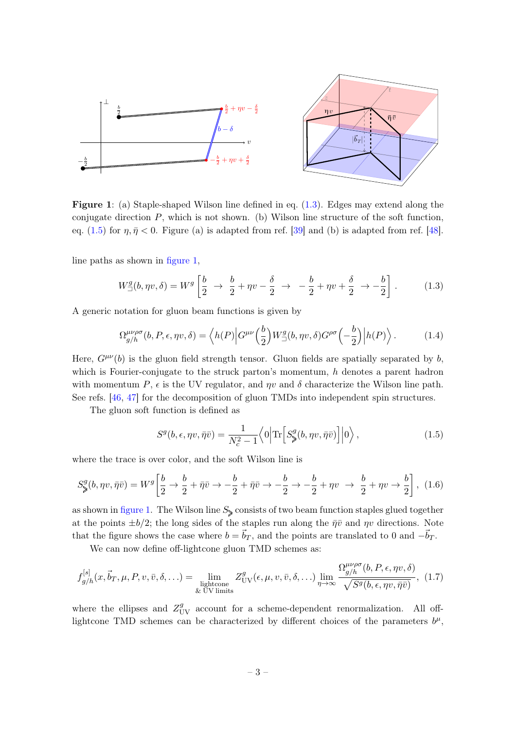<span id="page-3-2"></span>

Figure 1: (a) Staple-shaped Wilson line defined in eq. [\(1.3\)](#page-3-0). Edges may extend along the conjugate direction  $P$ , which is not shown. (b) Wilson line structure of the soft function, eq. [\(1.5\)](#page-3-1) for  $\eta, \bar{\eta} < 0$ . Figure (a) is adapted from ref. [\[39\]](#page-14-5) and (b) is adapted from ref. [\[48\]](#page-14-10).

line paths as shown in [figure 1,](#page-3-2)

<span id="page-3-0"></span>
$$
W_{\square}^g(b, \eta v, \delta) = W^g \left[ \frac{b}{2} \rightarrow \frac{b}{2} + \eta v - \frac{\delta}{2} \rightarrow -\frac{b}{2} + \eta v + \frac{\delta}{2} \rightarrow -\frac{b}{2} \right].
$$
 (1.3)

A generic notation for gluon beam functions is given by

$$
\Omega_{g/h}^{\mu\nu\rho\sigma}(b, P, \epsilon, \eta v, \delta) = \langle h(P) | G^{\mu\nu}(\frac{b}{2}) W_{\square}^g(b, \eta v, \delta) G^{\rho\sigma}(-\frac{b}{2}) | h(P) \rangle. \tag{1.4}
$$

Here,  $G^{\mu\nu}(b)$  is the gluon field strength tensor. Gluon fields are spatially separated by b, which is Fourier-conjugate to the struck parton's momentum, h denotes a parent hadron with momentum P,  $\epsilon$  is the UV regulator, and  $\eta v$  and  $\delta$  characterize the Wilson line path. See refs. [\[46,](#page-14-11) [47\]](#page-14-12) for the decomposition of gluon TMDs into independent spin structures.

The gluon soft function is defined as

<span id="page-3-1"></span>
$$
S^{g}(b,\epsilon,\eta v,\bar{\eta}\bar{v}) = \frac{1}{N_c^2 - 1} \langle 0 | \text{Tr} \Big[ S^g_{\geqslant}(b,\eta v,\bar{\eta}\bar{v}) \Big] | 0 \rangle , \qquad (1.5)
$$

where the trace is over color, and the soft Wilson line is

$$
S_{\geqslant}^{g}(b,\eta v,\bar{\eta}\bar{v})=W^{g}\left[\frac{b}{2}\to\frac{b}{2}+\bar{\eta}\bar{v}\to-\frac{b}{2}+\bar{\eta}\bar{v}\to-\frac{b}{2}\to-\frac{b}{2}+\eta v\to\frac{b}{2}+\eta v\to\frac{b}{2}\right],\tag{1.6}
$$

as shown in [figure 1.](#page-3-2) The Wilson line  $S_{\geq 0}$  consists of two beam function staples glued together at the points  $\pm b/2$ ; the long sides of the staples run along the  $\bar{\eta}\bar{v}$  and  $\eta v$  directions. Note that the figure shows the case where  $b = \vec{b}_T$ , and the points are translated to 0 and  $-\vec{b}_T$ .

We can now define off-lightcone gluon TMD schemes as:

<span id="page-3-3"></span>
$$
f_{g/h}^{[s]}(x, \vec{b}_T, \mu, P, v, \bar{v}, \delta, \ldots) = \lim_{\substack{\text{lightcone} \\ \& \text{ UV limits}}} Z_{\text{UV}}^g(\epsilon, \mu, v, \bar{v}, \delta, \ldots) \lim_{\eta \to \infty} \frac{\Omega_{g/h}^{\mu\nu\rho\sigma}(b, P, \epsilon, \eta v, \delta)}{\sqrt{S^g(b, \epsilon, \eta v, \bar{\eta} \bar{v})}}, (1.7)
$$

where the ellipses and  $Z_{UV}^g$  account for a scheme-dependent renormalization. All offlightcone TMD schemes can be characterized by different choices of the parameters  $b^{\mu}$ ,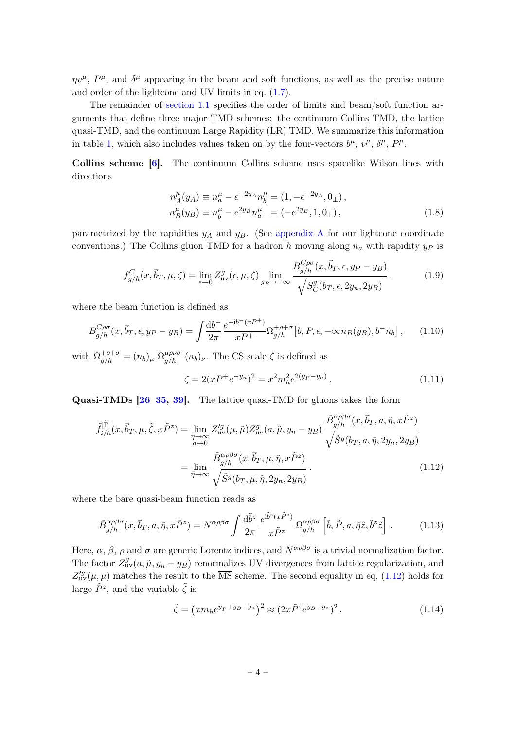$\eta v^{\mu}, P^{\mu}$ , and  $\delta^{\mu}$  appearing in the beam and soft functions, as well as the precise nature and order of the lightcone and UV limits in eq. [\(1.7\)](#page-3-3).

The remainder of [section 1.1](#page-2-0) specifies the order of limits and beam/soft function arguments that define three major TMD schemes: the continuum Collins TMD, the lattice quasi-TMD, and the continuum Large Rapidity (LR) TMD. We summarize this information in table [1,](#page-5-1) which also includes values taken on by the four-vectors  $b^{\mu}$ ,  $v^{\mu}$ ,  $\delta^{\mu}$ ,  $P^{\mu}$ .

Collins scheme [\[6\]](#page-12-3). The continuum Collins scheme uses spacelike Wilson lines with directions

$$
n_A^{\mu}(y_A) \equiv n_a^{\mu} - e^{-2y_A} n_b^{\mu} = (1, -e^{-2y_A}, 0_{\perp}),
$$
  
\n
$$
n_B^{\mu}(y_B) \equiv n_b^{\mu} - e^{2y_B} n_a^{\mu} = (-e^{2y_B}, 1, 0_{\perp}),
$$
\n(1.8)

parametrized by the rapidities  $y_A$  and  $y_B$ . (See [appendix A](#page-11-1) for our lightcone coordinate conventions.) The Collins gluon TMD for a hadron h moving along  $n_a$  with rapidity  $y_p$  is

$$
f_{g/h}^C(x, \vec{b}_T, \mu, \zeta) = \lim_{\epsilon \to 0} Z_{\text{uv}}^g(\epsilon, \mu, \zeta) \lim_{y_B \to -\infty} \frac{B_{g/h}^{C\rho\sigma}(x, \vec{b}_T, \epsilon, y_P - y_B)}{\sqrt{S_C^g(b_T, \epsilon, 2y_n, 2y_B)}},
$$
(1.9)

where the beam function is defined as

$$
B_{g/h}^{C\rho\sigma}(x, \vec{b}_T, \epsilon, y_P - y_B) = \int \frac{\mathrm{d}b^-}{2\pi} \frac{e^{-\mathrm{i}b^-(xP^+)}}{xP^+} \Omega_{g/h}^{+\rho+\sigma}[b, P, \epsilon, -\infty n_B(y_B), b^- n_b], \qquad (1.10)
$$

with  $\Omega_{g/h}^{+\rho+\sigma} = (n_b)_{\mu} \Omega_{g/h}^{\mu\rho\nu\sigma}$   $(n_b)_{\nu}$ . The CS scale  $\zeta$  is defined as

<span id="page-4-0"></span>
$$
\zeta = 2(xP^+e^{-y_n})^2 = x^2m_h^2e^{2(y_P-y_n)}.
$$
\n(1.11)

Quasi-TMDs [\[26](#page-13-7)[–35,](#page-14-0) [39\]](#page-14-5). The lattice quasi-TMD for gluons takes the form

$$
\tilde{f}_{i/h}^{[\tilde{\Gamma}]}(x, \vec{b}_T, \mu, \tilde{\zeta}, x\tilde{P}^z) = \lim_{\substack{\tilde{\eta} \to \infty \\ a \to 0}} Z_{uv}^{\prime g}(\mu, \tilde{\mu}) Z_{uv}^g(a, \tilde{\mu}, y_n - y_B) \frac{\tilde{B}_{g/h}^{\alpha \rho \beta \sigma}(x, \vec{b}_T, a, \tilde{\eta}, x\tilde{P}^z)}{\sqrt{\tilde{S}^g(b_T, a, \tilde{\eta}, 2y_n, 2y_B)}}
$$
\n
$$
= \lim_{\tilde{\eta} \to \infty} \frac{\tilde{B}_{g/h}^{\alpha \rho \beta \sigma}(x, \vec{b}_T, \mu, \tilde{\eta}, x\tilde{P}^z)}{\sqrt{\tilde{S}^g(b_T, \mu, \tilde{\eta}, 2y_n, 2y_B)}}.
$$
\n(1.12)

where the bare quasi-beam function reads as

$$
\tilde{B}_{g/h}^{\alpha\rho\beta\sigma}(x,\vec{b}_T,a,\tilde{\eta},x\tilde{P}^z) = N^{\alpha\rho\beta\sigma} \int \frac{\mathrm{d}\tilde{b}^z}{2\pi} \frac{e^{i\tilde{b}^z(x\tilde{P}^z)}}{x\tilde{P}^z} \Omega_{g/h}^{\alpha\rho\beta\sigma} \left[\tilde{b},\tilde{P},a,\tilde{\eta}\hat{z},\tilde{b}^z\hat{z}\right]. \tag{1.13}
$$

Here,  $\alpha$ ,  $\beta$ ,  $\rho$  and  $\sigma$  are generic Lorentz indices, and  $N^{\alpha\rho\beta\sigma}$  is a trivial normalization factor. The factor  $Z_{\text{uv}}^g(a, \tilde{\mu}, y_n - y_B)$  renormalizes UV divergences from lattice regularization, and  $Z_{\rm uv}^{/g}(\mu, \tilde{\mu})$  matches the result to the  $\overline{\rm MS}$  scheme. The second equality in eq. [\(1.12\)](#page-4-0) holds for large  $\tilde{P}^z$ , and the variable  $\tilde{\zeta}$  is

$$
\tilde{\zeta} = \left(xm_h e^{y_{\tilde{P}} + y_B - y_n}\right)^2 \approx \left(2x \tilde{P}^z e^{y_B - y_n}\right)^2. \tag{1.14}
$$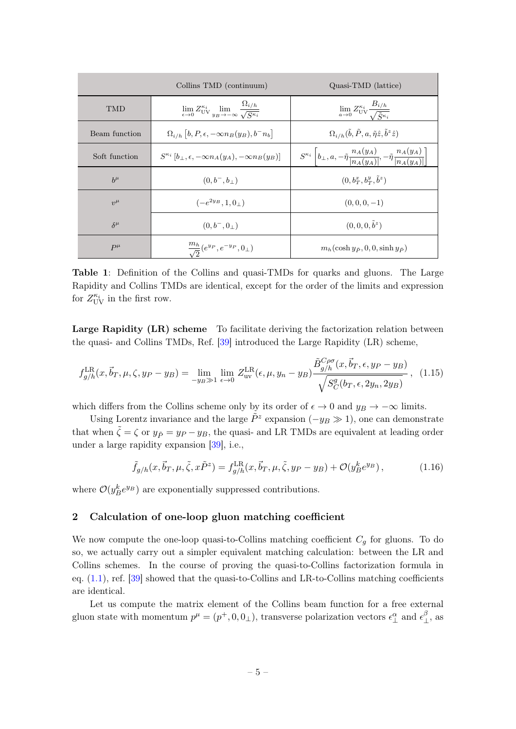<span id="page-5-1"></span>

|                | Collins TMD (continuum)                                                                                            | Quasi-TMD (lattice)                                                                                                         |
|----------------|--------------------------------------------------------------------------------------------------------------------|-----------------------------------------------------------------------------------------------------------------------------|
| <b>TMD</b>     | $\lim_{\epsilon \to 0} Z_{\mathrm{UV}}^{\kappa_i} \lim_{y_B \to -\infty} \frac{\Omega_{i/h}}{\sqrt{S^{\kappa_i}}}$ | $\lim_{a\to 0} Z_{\mathrm{UV}}^{\kappa_i} \frac{B_{i/h}}{\sqrt{\tilde{S}^{\kappa_i}}}$                                      |
| Beam function  | $\Omega_{i/h} [b, P, \epsilon, -\infty n_B(y_B), b^- n_b]$                                                         | $\Omega_{i/h}(\tilde{b}, \tilde{P}, a, \tilde{\eta}\hat{z}, \tilde{b}^z\hat{z})$                                            |
| Soft function  | $S^{\kappa_i}$ $[b_1, \epsilon, -\infty n_A(y_A), -\infty n_B(y_B)]$                                               | $S^{\kappa_i}\left[b_\perp, a, -\tilde{\eta} \frac{n_A(y_A)}{ n_A(y_A) }, -\tilde{\eta} \frac{n_A(y_A)}{ n_A(y_A) }\right]$ |
| $b^{\mu}$      | $(0, b^-, b_\perp)$                                                                                                | $(0, b_T^x, b_T^y, \tilde{b}^z)$                                                                                            |
| $v^{\mu}$      | $(-e^{2y_B}, 1, 0)$                                                                                                | $(0,0,0,-1)$                                                                                                                |
| $\delta^{\mu}$ | $(0, b^-, 0_+)$                                                                                                    | $(0, 0, 0, \tilde{b}^z)$                                                                                                    |
| $P^{\mu}$      | $\frac{m_h}{\sqrt{2}}(e^{y_P},e^{-y_P},0_\perp)$                                                                   | $m_h(\cosh y_{\tilde{P}}, 0, 0, \sinh y_{\tilde{P}})$                                                                       |

Table 1: Definition of the Collins and quasi-TMDs for quarks and gluons. The Large Rapidity and Collins TMDs are identical, except for the order of the limits and expression for  $Z_{\mathrm{UV}}^{\kappa_i}$  in the first row.

Large Rapidity (LR) scheme To facilitate deriving the factorization relation between the quasi- and Collins TMDs, Ref. [\[39\]](#page-14-5) introduced the Large Rapidity (LR) scheme,

$$
f_{g/h}^{\text{LR}}(x, \vec{b}_T, \mu, \zeta, y_P - y_B) = \lim_{-y_B \gg 1} \lim_{\epsilon \to 0} Z_{\text{uv}}^{\text{LR}}(\epsilon, \mu, y_n - y_B) \frac{\tilde{B}_{g/h}^{C\rho\sigma}(x, \vec{b}_T, \epsilon, y_P - y_B)}{\sqrt{S_C^g(b_T, \epsilon, 2y_n, 2y_B)}}, \quad (1.15)
$$

which differs from the Collins scheme only by its order of  $\epsilon \to 0$  and  $y_B \to -\infty$  limits.

Using Lorentz invariance and the large  $\tilde{P}^z$  expansion  $(-y_B \gg 1)$ , one can demonstrate that when  $\tilde{\zeta} = \zeta$  or  $y_{\tilde{P}} = y_P - y_B$ , the quasi- and LR TMDs are equivalent at leading order under a large rapidity expansion [\[39\]](#page-14-5), i.e.,

$$
\tilde{f}_{g/h}(x, \vec{b}_T, \mu, \tilde{\zeta}, x\tilde{P}^z) = f_{g/h}^{\text{LR}}(x, \vec{b}_T, \mu, \tilde{\zeta}, y_P - y_B) + \mathcal{O}(y_B^k e^{y_B}), \qquad (1.16)
$$

where  $\mathcal{O}(y_B^k e^{y_B})$  are exponentially suppressed contributions.

#### <span id="page-5-0"></span>2 Calculation of one-loop gluon matching coefficient

We now compute the one-loop quasi-to-Collins matching coefficient  $C_g$  for gluons. To do so, we actually carry out a simpler equivalent matching calculation: between the LR and Collins schemes. In the course of proving the quasi-to-Collins factorization formula in eq. [\(1.1\)](#page-2-1), ref. [\[39\]](#page-14-5) showed that the quasi-to-Collins and LR-to-Collins matching coefficients are identical.

Let us compute the matrix element of the Collins beam function for a free external gluon state with momentum  $p^{\mu} = (p^+, 0, 0_\perp)$ , transverse polarization vectors  $\epsilon_\perp^{\alpha}$  and  $\epsilon_\perp^{\beta}$  $\mathcal{L}_{\perp}^{\rho}$ , as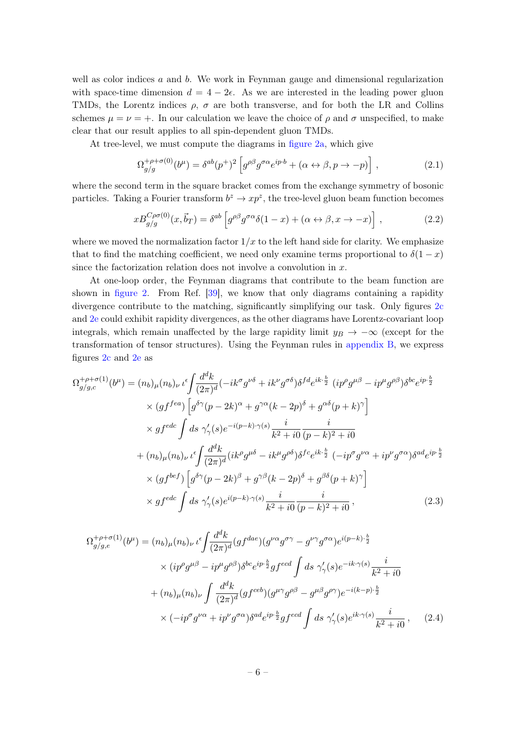well as color indices  $a$  and  $b$ . We work in Feynman gauge and dimensional regularization with space-time dimension  $d = 4 - 2\epsilon$ . As we are interested in the leading power gluon TMDs, the Lorentz indices  $\rho$ ,  $\sigma$  are both transverse, and for both the LR and Collins schemes  $\mu = \nu = +$ . In our calculation we leave the choice of  $\rho$  and  $\sigma$  unspecified, to make clear that our result applies to all spin-dependent gluon TMDs.

At tree-level, we must compute the diagrams in [figure 2a,](#page-7-0) which give

$$
\Omega_{g/g}^{+\rho+\sigma(0)}(b^{\mu}) = \delta^{ab}(p^{+})^{2} \left[ g^{\rho\beta} g^{\sigma\alpha} e^{ip \cdot b} + (\alpha \leftrightarrow \beta, p \to -p) \right], \qquad (2.1)
$$

where the second term in the square bracket comes from the exchange symmetry of bosonic particles. Taking a Fourier transform  $b^z \to xp^z$ , the tree-level gluon beam function becomes

$$
xB_{g/g}^{C\rho\sigma(0)}(x,\vec{b}_T) = \delta^{ab} \left[ g^{\rho\beta} g^{\sigma\alpha} \delta(1-x) + (\alpha \leftrightarrow \beta, x \to -x) \right],\tag{2.2}
$$

where we moved the normalization factor  $1/x$  to the left hand side for clarity. We emphasize that to find the matching coefficient, we need only examine terms proportional to  $\delta(1-x)$ since the factorization relation does not involve a convolution in  $x$ .

At one-loop order, the Feynman diagrams that contribute to the beam function are shown in [figure 2.](#page-7-0) From Ref. [\[39\]](#page-14-5), we know that only diagrams containing a rapidity divergence contribute to the matching, significantly simplifying our task. Only figures [2c](#page-7-0) and [2e](#page-7-0) could exhibit rapidity divergences, as the other diagrams have Lorentz-covariant loop integrals, which remain unaffected by the large rapidity limit  $y_B \to -\infty$  (except for the transformation of tensor structures). Using the Feynman rules in [appendix B,](#page-11-2) we express figures [2c](#page-7-0) and [2e](#page-7-0) as

$$
\Omega_{g/g,c}^{+\rho+\sigma(1)}(b^{\mu}) = (n_b)_{\mu}(n_b)_{\nu} \iota^{\epsilon} \int \frac{d^d k}{(2\pi)^d} (-ik^{\sigma} g^{\nu\delta} + ik^{\nu} g^{\sigma\delta}) \delta^{fd} e^{ik \cdot \frac{b}{2}} (ip^{\rho} g^{\mu\beta} - ip^{\mu} g^{\rho\beta}) \delta^{bc} e^{ip \cdot \frac{b}{2}} \times (gf^{fea}) \left[ g^{\delta\gamma} (p - 2k)^{\alpha} + g^{\gamma\alpha} (k - 2p)^{\delta} + g^{\alpha\delta} (p + k)^{\gamma} \right] \times gf^{ede} \int ds \gamma'_{\gamma}(s) e^{-i(p-k)\cdot\gamma(s)} \frac{i}{k^2 + i0} \frac{i}{(p - k)^2 + i0} \n+ (n_b)_{\mu}(n_b)_{\nu} \iota^{\epsilon} \int \frac{d^d k}{(2\pi)^d} (ik^{\rho} g^{\mu\delta} - ik^{\mu} g^{\rho\delta}) \delta^{fc} e^{ik \cdot \frac{b}{2}} (-ip^{\sigma} g^{\nu\alpha} + ip^{\nu} g^{\sigma\alpha}) \delta^{ad} e^{ip \cdot \frac{b}{2}} \times (gf^{bef}) \left[ g^{\delta\gamma} (p - 2k)^{\beta} + g^{\gamma\beta} (k - 2p)^{\delta} + g^{\beta\delta} (p + k)^{\gamma} \right] \times gf^{ede} \int ds \gamma'_{\gamma}(s) e^{i(p-k)\cdot\gamma(s)} \frac{i}{k^2 + i0} \frac{i}{(p - k)^2 + i0},
$$
\n(2.3)

$$
\Omega_{g/g,e}^{+\rho+\sigma(1)}(b^{\mu}) = (n_b)_{\mu}(n_b)_{\nu} \iota^{\epsilon} \int \frac{d^d k}{(2\pi)^d} (gf^{dae}) (g^{\nu\alpha} g^{\sigma\gamma} - g^{\nu\gamma} g^{\sigma\alpha}) e^{i(p-k)\cdot\frac{b}{2}} \times (ip^{\rho} g^{\mu\beta} - ip^{\mu} g^{\rho\beta}) \delta^{bc} e^{ip\cdot\frac{b}{2}} gf^{ecd} \int ds \ \gamma'_{\gamma}(s) e^{-ik\cdot\gamma(s)} \frac{i}{k^2 + i0} + (n_b)_{\mu}(n_b)_{\nu} \int \frac{d^d k}{(2\pi)^d} (gf^{ccb}) (g^{\mu\gamma} g^{\rho\beta} - g^{\mu\beta} g^{\rho\gamma}) e^{-i(k-p)\cdot\frac{b}{2}} \times (-ip^{\sigma} g^{\nu\alpha} + ip^{\nu} g^{\sigma\alpha}) \delta^{ad} e^{ip\cdot\frac{b}{2}} gf^{ecd} \int ds \ \gamma'_{\gamma}(s) e^{ik\cdot\gamma(s)} \frac{i}{k^2 + i0} , \quad (2.4)
$$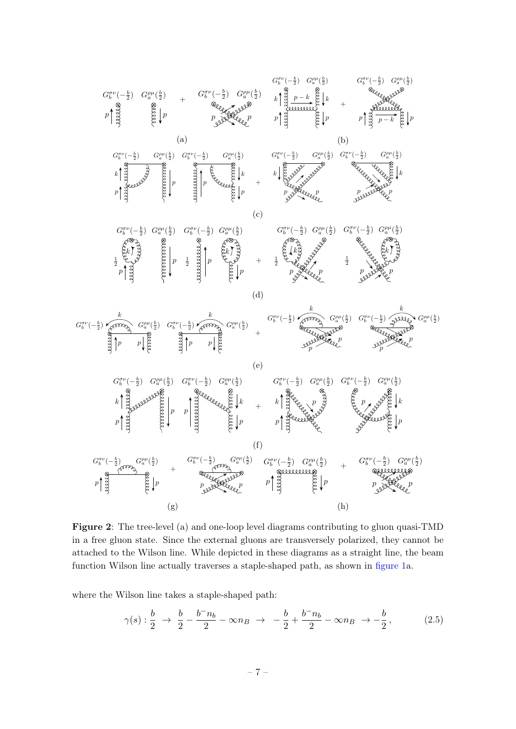<span id="page-7-0"></span>

Figure 2: The tree-level (a) and one-loop level diagrams contributing to gluon quasi-TMD in a free gluon state. Since the external gluons are transversely polarized, they cannot be attached to the Wilson line. While depicted in these diagrams as a straight line, the beam function Wilson line actually traverses a staple-shaped path, as shown in [figure 1a](#page-3-2).

where the Wilson line takes a staple-shaped path:

$$
\gamma(s): \frac{b}{2} \to \frac{b}{2} - \frac{b^- n_b}{2} - \infty n_B \to -\frac{b}{2} + \frac{b^- n_b}{2} - \infty n_B \to -\frac{b}{2}, \tag{2.5}
$$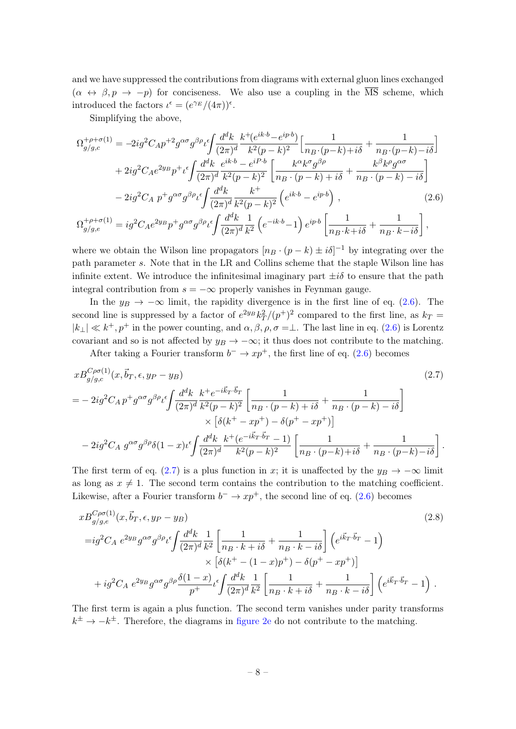and we have suppressed the contributions from diagrams with external gluon lines exchanged  $(\alpha \leftrightarrow \beta, p \rightarrow -p)$  for conciseness. We also use a coupling in the  $\overline{\text{MS}}$  scheme, which introduced the factors  $\iota^{\epsilon} = (e^{\gamma_E}/(4\pi))^{\epsilon}$ .

<span id="page-8-0"></span>Simplifying the above,

$$
\Omega_{g/g,c}^{+\rho+\sigma(1)} = -2ig^2 C_A p^{+2} g^{\alpha\sigma} g^{\beta\rho} \iota \left\{ \frac{d^d k}{(2\pi)^d} \frac{k^+(e^{ik \cdot b} - e^{ip \cdot b})}{k^2 (p - k)^2} \left[ \frac{1}{n_B \cdot (p - k) + i\delta} + \frac{1}{n_B \cdot (p - k) - i\delta} \right] \right. \\
\left. + 2ig^2 C_A e^{2y_B} p^+ \iota \left\{ \frac{d^d k}{(2\pi)^d} \frac{e^{ik \cdot b} - e^{iP \cdot b}}{k^2 (p - k)^2} \left[ \frac{k^\alpha k^\sigma g^{\beta\rho}}{n_B \cdot (p - k) + i\delta} + \frac{k^\beta k^\rho g^{\alpha\sigma}}{n_B \cdot (p - k) - i\delta} \right] \right. \\
\left. - 2ig^2 C_A p^+ g^{\alpha\sigma} g^{\beta\rho} \iota \left\{ \frac{d^d k}{(2\pi)^d} \frac{k^+}{k^2 (p - k)^2} \left( e^{ik \cdot b} - e^{ip \cdot b} \right) \right. \\
\left. + 2ig^2 C_A p^+ g^{\alpha\sigma} g^{\beta\rho} \iota \left\{ \frac{d^d k}{(2\pi)^d} \frac{k^+}{k^2 (p - k)^2} \left( e^{ik \cdot b} - e^{ip \cdot b} \right) \right. \\
\left. (2.6)
$$

$$
\Omega_{g/g,e}^{+\rho+\sigma(1)} = ig^2 C_A e^{2y_B} p^+ g^{\alpha\sigma} g^{\beta\rho} \iota^{\epsilon} \int \frac{d^d k}{(2\pi)^d} \frac{1}{k^2} \left( e^{-ik \cdot b} - 1 \right) e^{ip \cdot b} \left[ \frac{1}{n_B \cdot k + i\delta} + \frac{1}{n_B \cdot k - i\delta} \right],
$$

where we obtain the Wilson line propagators  $[n_B \cdot (p-k) \pm i\delta]^{-1}$  by integrating over the path parameter s. Note that in the LR and Collins scheme that the staple Wilson line has infinite extent. We introduce the infinitesimal imaginary part  $\pm i\delta$  to ensure that the path integral contribution from  $s = -\infty$  properly vanishes in Feynman gauge.

In the  $y_B \to -\infty$  limit, the rapidity divergence is in the first line of eq. [\(2.6\)](#page-8-0). The second line is suppressed by a factor of  $e^{2y_B} k_T^2/(p^+)^2$  compared to the first line, as  $k_T =$  $|k_\perp| \ll k^+, p^+$  in the power counting, and  $\alpha, \beta, \rho, \sigma = \perp$ . The last line in eq. [\(2.6\)](#page-8-0) is Lorentz covariant and so is not affected by  $y_B \to -\infty$ ; it thus does not contribute to the matching.

<span id="page-8-1"></span>After taking a Fourier transform  $b^{-} \to xp^{+}$ , the first line of eq. [\(2.6\)](#page-8-0) becomes

$$
xB_{g/g,c}^{C\rho\sigma(1)}(x,\vec{b}_T,\epsilon,y_P-y_B)
$$
\n
$$
= -2ig^2C_A p^+g^{\alpha\sigma}g^{\beta\rho} \iota^{\epsilon} \int \frac{d^d k}{(2\pi)^d} \frac{k^+e^{-i\vec{k}_T\cdot\vec{b}_T}}{k^2(p-k)^2} \left[ \frac{1}{n_B\cdot(p-k)+i\delta} + \frac{1}{n_B\cdot(p-k)-i\delta} \right]
$$
\n
$$
\times \left[ \delta(k^+ - xp^+) - \delta(p^+ - xp^+) \right]
$$
\n
$$
-2ig^2C_A g^{\alpha\sigma}g^{\beta\rho}\delta(1-x)\iota^{\epsilon} \int \frac{d^dk}{(2\pi)^d} \frac{k^+(e^{-i\vec{k}_T\cdot\vec{b}_T}-1)}{k^2(p-k)^2} \left[ \frac{1}{n_B\cdot(p-k)+i\delta} + \frac{1}{n_B\cdot(p-k)-i\delta} \right].
$$
\n(2.7)

The first term of eq. [\(2.7\)](#page-8-1) is a plus function in x; it is unaffected by the  $y_B \to -\infty$  limit as long as  $x \neq 1$ . The second term contains the contribution to the matching coefficient. Likewise, after a Fourier transform  $b^{-} \to xp^{+}$ , the second line of eq. [\(2.6\)](#page-8-0) becomes

$$
xB_{g/g,e}^{C\rho\sigma(1)}(x,\vec{b}_T,\epsilon,y_P-y_B)
$$
\n
$$
=ig^2C_A e^{2y_B}g^{\alpha\sigma}g^{\beta\rho} \iota^{\epsilon} \int \frac{d^d k}{(2\pi)^d} \frac{1}{k^2} \left[ \frac{1}{n_B \cdot k + i\delta} + \frac{1}{n_B \cdot k - i\delta} \right] \left( e^{i\vec{k}_T \cdot \vec{b}_T} - 1 \right)
$$
\n
$$
\times \left[ \delta(k^+ - (1-x)p^+) - \delta(p^+ - xp^+) \right]
$$
\n
$$
+ ig^2C_A e^{2y_B}g^{\alpha\sigma}g^{\beta\rho} \frac{\delta(1-x)}{p^+} \iota^{\epsilon} \int \frac{d^d k}{(2\pi)^d} \frac{1}{k^2} \left[ \frac{1}{n_B \cdot k + i\delta} + \frac{1}{n_B \cdot k - i\delta} \right] \left( e^{i\vec{k}_T \cdot \vec{b}_T} - 1 \right).
$$
\n(2.8)

The first term is again a plus function. The second term vanishes under parity transforms  $k^{\pm} \rightarrow -k^{\pm}$ . Therefore, the diagrams in [figure 2e](#page-7-0) do not contribute to the matching.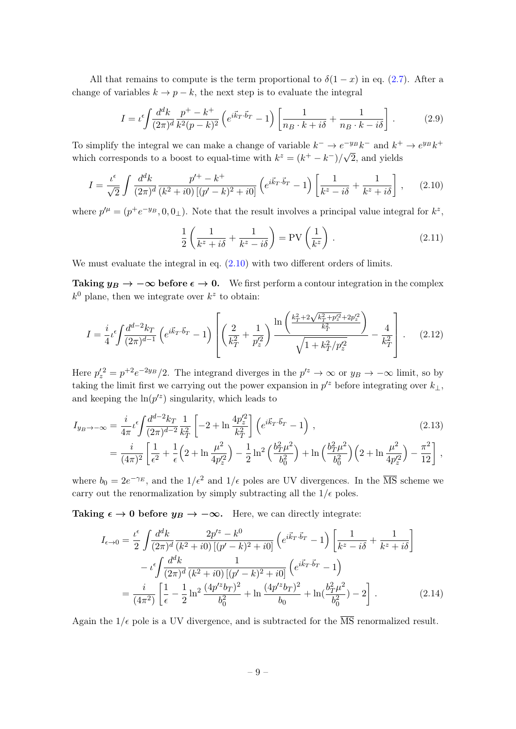All that remains to compute is the term proportional to  $\delta(1-x)$  in eq. [\(2.7\)](#page-8-1). After a change of variables  $k \to p - k$ , the next step is to evaluate the integral

$$
I = \iota^{\epsilon} \int \frac{d^d k}{(2\pi)^d} \frac{p^+ - k^+}{k^2 (p - k)^2} \left( e^{i\vec{k}_T \cdot \vec{b}_T} - 1 \right) \left[ \frac{1}{n_B \cdot k + i\delta} + \frac{1}{n_B \cdot k - i\delta} \right]. \tag{2.9}
$$

To simplify the integral we can make a change of variable  $k^- \to e^{-y_B} k^-$  and  $k^+ \to e^{y_B} k^+$ which corresponds to a boost to equal-time with  $k^z = (k^+ - k^-)/\sqrt{2}$ , and yields

$$
I = \frac{\iota^{\epsilon}}{\sqrt{2}} \int \frac{d^{d}k}{(2\pi)^{d}} \frac{p'^{+} - k^{+}}{(k^{2} + i0) \left[ (p' - k)^{2} + i0 \right]} \left( e^{i\vec{k}_{T} \cdot \vec{b}_{T}} - 1 \right) \left[ \frac{1}{k^{z} - i\delta} + \frac{1}{k^{z} + i\delta} \right], \quad (2.10)
$$

where  $p^{\prime \mu} = (p^+e^{-y_B}, 0, 0_\perp)$ . Note that the result involves a principal value integral for  $k^z$ ,

<span id="page-9-1"></span><span id="page-9-0"></span>
$$
\frac{1}{2}\left(\frac{1}{k^z+i\delta}+\frac{1}{k^z-i\delta}\right) = \text{PV}\left(\frac{1}{k^z}\right). \tag{2.11}
$$

We must evaluate the integral in eq.  $(2.10)$  with two different orders of limits.

Taking  $y_B \to -\infty$  before  $\epsilon \to 0$ . We first perform a contour integration in the complex  $k^0$  plane, then we integrate over  $k^z$  to obtain:

$$
I = \frac{i}{4} \iota^{\epsilon} \int \frac{d^{d-2}k_T}{(2\pi)^{d-1}} \left( e^{i\vec{k}_T \cdot \vec{b}_T} - 1 \right) \left[ \left( \frac{2}{k_T^2} + \frac{1}{p_Z^2} \right) \frac{\ln\left( \frac{k_T^2 + 2\sqrt{k_T^2 + p_Z^2} + 2p_Z^2}{k_T^2} \right)}{\sqrt{1 + k_T^2/p_Z^2}} - \frac{4}{k_T^2} \right].
$$
 (2.12)

Here  $p'_z = p^{+2}e^{-2y_B}/2$ . The integrand diverges in the  $p'^z \to \infty$  or  $y_B \to -\infty$  limit, so by taking the limit first we carrying out the power expansion in  $p^{\prime z}$  before integrating over  $k_{\perp}$ , and keeping the  $\ln(p^{z})$  singularity, which leads to

$$
I_{y_B \to -\infty} = \frac{i}{4\pi} \iota^{\epsilon} \int \frac{d^{d-2}k_T}{(2\pi)^{d-2}} \frac{1}{k_T^2} \left[ -2 + \ln \frac{4p_z'^2}{k_T^2} \right] \left( e^{i\vec{k}_T \cdot \vec{b}_T} - 1 \right) ,
$$
\n
$$
= \frac{i}{(4\pi)^2} \left[ \frac{1}{\epsilon^2} + \frac{1}{\epsilon} \left( 2 + \ln \frac{\mu^2}{4p_z'^2} \right) - \frac{1}{2} \ln^2 \left( \frac{b_T^2 \mu^2}{b_0^2} \right) + \ln \left( \frac{b_T^2 \mu^2}{b_0^2} \right) \left( 2 + \ln \frac{\mu^2}{4p_z'^2} \right) - \frac{\pi^2}{12} \right] ,
$$
\n(2.13)

where  $b_0 = 2e^{-\gamma_E}$ , and the  $1/\epsilon^2$  and  $1/\epsilon$  poles are UV divergences. In the  $\overline{\text{MS}}$  scheme we carry out the renormalization by simply subtracting all the  $1/\epsilon$  poles.

Taking  $\epsilon \to 0$  before  $y_B \to -\infty$ . Here, we can directly integrate:

<span id="page-9-2"></span>
$$
I_{\epsilon \to 0} = \frac{\iota^{\epsilon}}{2} \int \frac{d^d k}{(2\pi)^d} \frac{2p'^z - k^0}{(k^2 + i0) \left[ (p' - k)^2 + i0 \right]} \left( e^{i\vec{k}_T \cdot \vec{b}_T} - 1 \right) \left[ \frac{1}{k^z - i\delta} + \frac{1}{k^z + i\delta} \right] - \iota^{\epsilon} \int \frac{d^d k}{(2\pi)^d} \frac{1}{(k^2 + i0) \left[ (p' - k)^2 + i0 \right]} \left( e^{i\vec{k}_T \cdot \vec{b}_T} - 1 \right) = \frac{i}{(4\pi^2)} \left[ \frac{1}{\epsilon} - \frac{1}{2} \ln^2 \frac{(4p'^z b_T)^2}{b_0^2} + \ln \frac{(4p'^z b_T)^2}{b_0} + \ln \left( \frac{b_T^2 \mu^2}{b_0^2} \right) - 2 \right].
$$
 (2.14)

Again the  $1/\epsilon$  pole is a UV divergence, and is subtracted for the  $\overline{\text{MS}}$  renormalized result.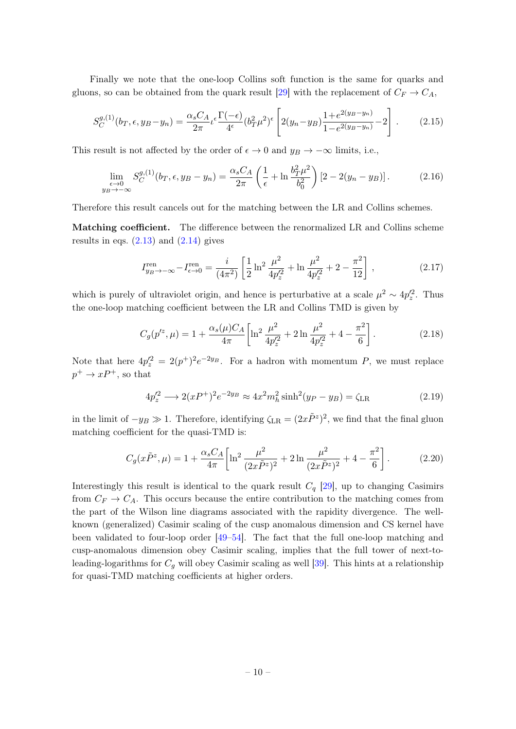Finally we note that the one-loop Collins soft function is the same for quarks and gluons, so can be obtained from the quark result [\[29\]](#page-13-9) with the replacement of  $C_F \rightarrow C_A$ ,

$$
S_C^{g,(1)}(b_T,\epsilon,y_B-y_n) = \frac{\alpha_s C_A}{2\pi} \iota^{\epsilon} \frac{\Gamma(-\epsilon)}{4^{\epsilon}} (b_T^2 \mu^2)^{\epsilon} \left[ 2(y_n - y_B) \frac{1 + e^{2(y_B - y_n)}}{1 - e^{2(y_B - y_n)}} - 2 \right].
$$
 (2.15)

This result is not affected by the order of  $\epsilon \to 0$  and  $y_B \to -\infty$  limits, i.e.,

$$
\lim_{\substack{\epsilon \to 0 \\ y_B \to -\infty}} S_C^{g,(1)}(b_T, \epsilon, y_B - y_n) = \frac{\alpha_s C_A}{2\pi} \left( \frac{1}{\epsilon} + \ln \frac{b_T^2 \mu^2}{b_0^2} \right) \left[ 2 - 2(y_n - y_B) \right].
$$
 (2.16)

Therefore this result cancels out for the matching between the LR and Collins schemes.

Matching coefficient. The difference between the renormalized LR and Collins scheme results in eqs.  $(2.13)$  and  $(2.14)$  gives

$$
I_{y_B \to -\infty}^{\text{ren}} - I_{\epsilon \to 0}^{\text{ren}} = \frac{i}{(4\pi^2)} \left[ \frac{1}{2} \ln^2 \frac{\mu^2}{4p_z'^2} + \ln \frac{\mu^2}{4p_z'^2} + 2 - \frac{\pi^2}{12} \right],
$$
 (2.17)

which is purely of ultraviolet origin, and hence is perturbative at a scale  $\mu^2 \sim 4p_z'^2$ . Thus the one-loop matching coefficient between the LR and Collins TMD is given by

$$
C_g(p'^z, \mu) = 1 + \frac{\alpha_s(\mu)C_A}{4\pi} \left[ \ln^2 \frac{\mu^2}{4p_z'^2} + 2\ln \frac{\mu^2}{4p_z'^2} + 4 - \frac{\pi^2}{6} \right].
$$
 (2.18)

Note that here  $4p_z^2 = 2(p^+)^2 e^{-2y_B}$ . For a hadron with momentum P, we must replace  $p^+ \to xP^+$ , so that

$$
4p_z'^2 \longrightarrow 2(xP^+)^2 e^{-2y_B} \approx 4x^2 m_h^2 \sinh^2(y_P - y_B) = \zeta_{LR}
$$
 (2.19)

in the limit of  $-y_B \gg 1$ . Therefore, identifying  $\zeta_{LR} = (2x \tilde{P}^z)^2$ , we find that the final gluon matching coefficient for the quasi-TMD is:

$$
C_g(x\tilde{P}^z,\mu) = 1 + \frac{\alpha_s C_A}{4\pi} \left[ \ln^2 \frac{\mu^2}{(2x\tilde{P}^z)^2} + 2\ln \frac{\mu^2}{(2x\tilde{P}^z)^2} + 4 - \frac{\pi^2}{6} \right].
$$
 (2.20)

Interestingly this result is identical to the quark result  $C_q$  [\[29\]](#page-13-9), up to changing Casimirs from  $C_F \to C_A$ . This occurs because the entire contribution to the matching comes from the part of the Wilson line diagrams associated with the rapidity divergence. The wellknown (generalized) Casimir scaling of the cusp anomalous dimension and CS kernel have been validated to four-loop order [\[49–](#page-15-0)[54\]](#page-15-1). The fact that the full one-loop matching and cusp-anomalous dimension obey Casimir scaling, implies that the full tower of next-toleading-logarithms for  $C_g$  will obey Casimir scaling as well [\[39\]](#page-14-5). This hints at a relationship for quasi-TMD matching coefficients at higher orders.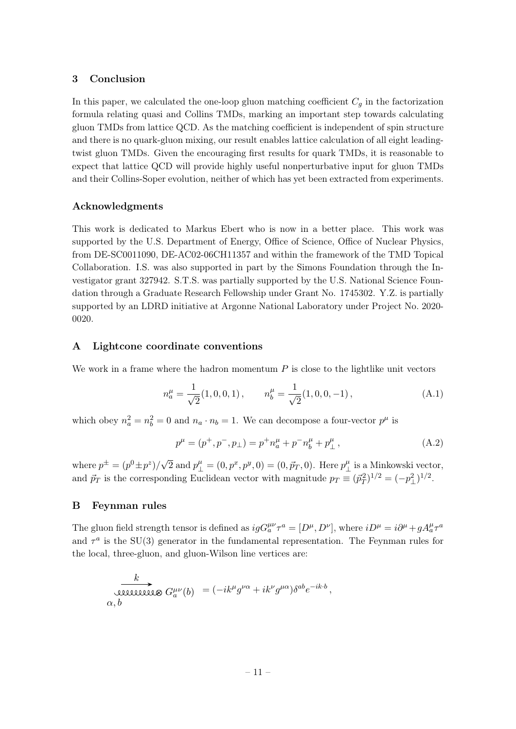## <span id="page-11-0"></span>3 Conclusion

In this paper, we calculated the one-loop gluon matching coefficient  $C_q$  in the factorization formula relating quasi and Collins TMDs, marking an important step towards calculating gluon TMDs from lattice QCD. As the matching coefficient is independent of spin structure and there is no quark-gluon mixing, our result enables lattice calculation of all eight leadingtwist gluon TMDs. Given the encouraging first results for quark TMDs, it is reasonable to expect that lattice QCD will provide highly useful nonperturbative input for gluon TMDs and their Collins-Soper evolution, neither of which has yet been extracted from experiments.

#### Acknowledgments

This work is dedicated to Markus Ebert who is now in a better place. This work was supported by the U.S. Department of Energy, Office of Science, Office of Nuclear Physics, from DE-SC0011090, DE-AC02-06CH11357 and within the framework of the TMD Topical Collaboration. I.S. was also supported in part by the Simons Foundation through the Investigator grant 327942. S.T.S. was partially supported by the U.S. National Science Foundation through a Graduate Research Fellowship under Grant No. 1745302. Y.Z. is partially supported by an LDRD initiative at Argonne National Laboratory under Project No. 2020- 0020.

# <span id="page-11-1"></span>A Lightcone coordinate conventions

We work in a frame where the hadron momentum  $P$  is close to the lightlike unit vectors

$$
n_a^{\mu} = \frac{1}{\sqrt{2}} (1, 0, 0, 1), \qquad n_b^{\mu} = \frac{1}{\sqrt{2}} (1, 0, 0, -1), \tag{A.1}
$$

which obey  $n_a^2 = n_b^2 = 0$  and  $n_a \cdot n_b = 1$ . We can decompose a four-vector  $p^{\mu}$  is

$$
p^{\mu} = (p^+, p^-, p_\perp) = p^+ n_a^{\mu} + p^- n_b^{\mu} + p_\perp^{\mu}, \tag{A.2}
$$

where  $p^{\pm} = (p^0 \pm p^z)/\sqrt{2}$  and  $p^{\mu}_{\perp} = (0, p^x, p^y, 0) = (0, \vec{p}_T, 0)$ . Here  $p^{\mu}_{\perp}$  $^{\mu}_{\perp}$  is a Minkowski vector, and  $\vec{p}_T$  is the corresponding Euclidean vector with magnitude  $p_T \equiv (\vec{p}_T^2)^{1/2} = (-p_\perp^2)^{1/2}$ .

#### <span id="page-11-2"></span>B Feynman rules

The gluon field strength tensor is defined as  $igG_a^{\mu\nu}\tau^a = [D^\mu, D^\nu]$ , where  $iD^\mu = i\partial^\mu + gA_a^\mu\tau^a$ and  $\tau^a$  is the SU(3) generator in the fundamental representation. The Feynman rules for the local, three-gluon, and gluon-Wilson line vertices are:

$$
\underbrace{k}_{\alpha, b} \sum_{\mathbf{Q} \in \mathcal{Q} \cup \mathcal{Q} \cup \mathcal{Q} \cup \mathcal{Q} \cup \mathcal{Q}} G_a^{\mu\nu}(b) = (-ik^{\mu}g^{\nu\alpha} + ik^{\nu}g^{\mu\alpha})\delta^{ab}e^{-ik \cdot b},
$$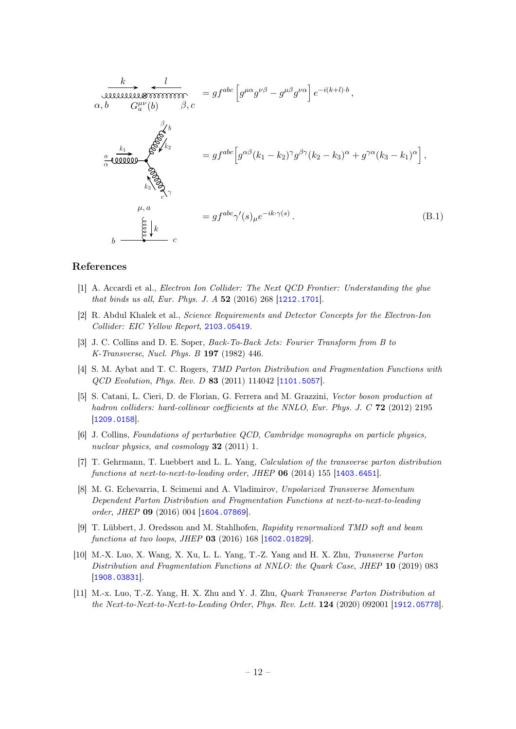$$
\frac{k}{\alpha, b} \frac{l}{G_{a}^{\mu\nu}(b)} = gf^{abc} \left[ g^{\mu\alpha} g^{\nu\beta} - g^{\mu\beta} g^{\nu\alpha} \right] e^{-i(k+l)\cdot b},
$$
\n
$$
\alpha, b \qquad G_{a}^{\mu\nu}(b) \qquad \beta, c
$$
\n
$$
\frac{k}{\alpha} \frac{k}{\alpha} \frac{\beta}{\alpha} \frac{k}{\alpha} = gf^{abc} \left[ g^{\alpha\beta} (k_1 - k_2)^{\gamma} g^{\beta\gamma} (k_2 - k_3)^{\alpha} + g^{\gamma\alpha} (k_3 - k_1)^{\alpha} \right],
$$
\n
$$
\sum_{k_3 \atop k_3 \atop k_2 \atop k_3 \atop k_4 \atop k_5 \atop k_6 \atop k_7 \atop k_8 \atop k_9 \atop k_9 \atop k_9 \atop k_9 \atop k_9 \atop k_9 \atop k_9 \atop k_9 \atop k_9 \atop k_9 \atop k_9 \atop k_9 \atop k_9 \atop k_9 \atop k_9 \atop k_9 \atop k_9 \atop k_9 \atop k_9 \atop k_9 \atop k_9 \atop k_9 \atop k_9 \atop k_9 \atop k_9 \atop k_9 \atop k_9 \atop k_9 \atop k_9 \atop k_9 \atop k_9 \atop k_9 \atop k_9 \atop k_9 \atop k_9 \atop k_9 \atop k_9 \atop k_9 \atop k_9 \atop k_9 \atop k_9 \atop k_9 \atop k_9 \atop k_9 \atop k_9 \atop k_9 \atop k_9 \atop k_9 \atop k_9 \atop k_9 \atop k_9 \atop k_9 \atop k_9 \atop k_9 \atop k_9 \atop k_9 \atop k_9 \atop k_9 \atop k_9 \atop k_9 \atop k_9 \atop k_9 \atop k_9 \atop k_9 \atop k_9 \atop k_9 \atop k_9 \atop k_9 \atop k_9 \atop k_9 \atop k_9 \atop k_9 \atop k_9 \atop k_9 \atop k_9 \atop k_9 \atop k_9 \atop k_9 \atop k_9 \atop k_9 \
$$

#### References

- <span id="page-12-0"></span>[1] A. Accardi et al., *Electron Ion Collider: The Next QCD Frontier: Understanding the glue* that binds us all, Eur. Phys. J. A 52 (2016) 268 [[1212.1701](https://arxiv.org/abs/1212.1701)].
- <span id="page-12-1"></span>[2] R. Abdul Khalek et al., Science Requirements and Detector Concepts for the Electron-Ion Collider: EIC Yellow Report, [2103.05419](https://arxiv.org/abs/2103.05419).
- <span id="page-12-2"></span>[3] J. C. Collins and D. E. Soper, *Back-To-Back Jets: Fourier Transform from B to* K-Transverse, Nucl. Phys. B 197 (1982) 446.
- QCD Evolution, Phys. Rev. D 83 (2011) 114042 [[1101.5057](https://arxiv.org/abs/1101.5057)]. [4] S. M. Aybat and T. C. Rogers, TMD Parton Distribution and Fragmentation Functions with
- 2 [5] S. Catani, L. Cieri, D. de Florian, G. Ferrera and M. Grazzini, Vector boson production at hadron colliders: hard-collinear coefficients at the NNLO, Eur. Phys. J. C 72 (2012) 2195 [[1209.0158](https://arxiv.org/abs/1209.0158)].
- <span id="page-12-3"></span>[6] J. Collins, Foundations of perturbative QCD, Cambridge monographs on particle physics, nuclear physics, and cosmology **32** (2011) 1.
- [7] T. Gehrmann, T. Luebbert and L. L. Yang, Calculation of the transverse parton distribution functions at next-to-next-to-leading order, JHEP 06 (2014) 155 [[1403.6451](https://arxiv.org/abs/1403.6451)].
- [8] M. G. Echevarria, I. Scimemi and A. Vladimirov, Unpolarized Transverse Momentum Dependent Parton Distribution and Fragmentation Functions at next-to-next-to-leading order, JHEP 09 (2016) 004 [[1604.07869](https://arxiv.org/abs/1604.07869)].
- [9] T. Lübbert, J. Oredsson and M. Stahlhofen, Rapidity renormalized TMD soft and beam functions at two loops, JHEP 03 (2016) 168 [[1602.01829](https://arxiv.org/abs/1602.01829)].
- [10] M.-X. Luo, X. Wang, X. Xu, L. L. Yang, T.-Z. Yang and H. X. Zhu, Transverse Parton Distribution and Fragmentation Functions at NNLO: the Quark Case, JHEP 10 (2019) 083 [[1908.03831](https://arxiv.org/abs/1908.03831)].
- [11] M.-x. Luo, T.-Z. Yang, H. X. Zhu and Y. J. Zhu, Quark Transverse Parton Distribution at the Next-to-Next-to-Next-to-Leading Order, Phys. Rev. Lett. 124 (2020) 092001 [[1912.05778](https://arxiv.org/abs/1912.05778)].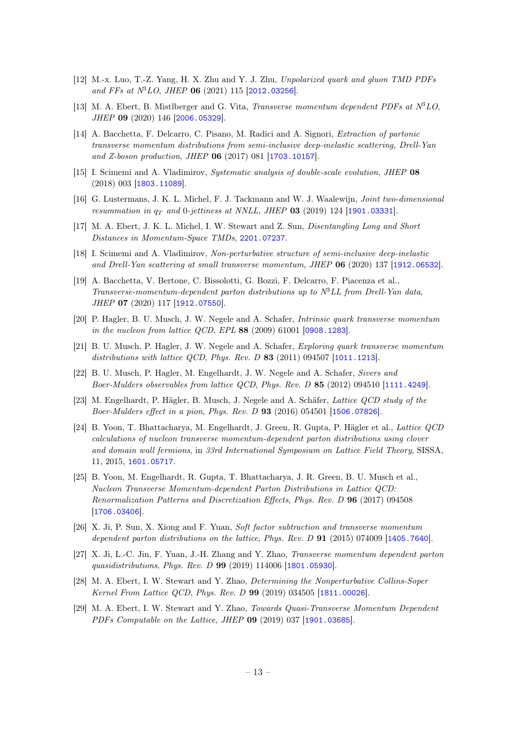- [12] M.-x. Luo, T.-Z. Yang, H. X. Zhu and Y. J. Zhu, Unpolarized quark and gluon TMD PDFs and FFs at  $N^3LO$ , JHEP 06 (2021) 115 [[2012.03256](https://arxiv.org/abs/2012.03256)].
- <span id="page-13-0"></span>[13] M. A. Ebert, B. Mistlberger and G. Vita, Transverse momentum dependent PDFs at  $N^3LO$ , JHEP 09 (2020) 146 [[2006.05329](https://arxiv.org/abs/2006.05329)].
- <span id="page-13-1"></span>[14] A. Bacchetta, F. Delcarro, C. Pisano, M. Radici and A. Signori, Extraction of partonic transverse momentum distributions from semi-inclusive deep-inelastic scattering, Drell-Yan and Z-boson production, JHEP 06 (2017) 081 [[1703.10157](https://arxiv.org/abs/1703.10157)].
- [15] I. Scimemi and A. Vladimirov, Systematic analysis of double-scale evolution, JHEP 08 (2018) 003 [[1803.11089](https://arxiv.org/abs/1803.11089)].
- [16] G. Lustermans, J. K. L. Michel, F. J. Tackmann and W. J. Waalewijn, *Joint two-dimensional* resummation in  $q_T$  and 0-jettiness at NNLL, JHEP 03 (2019) 124 [[1901.03331](https://arxiv.org/abs/1901.03331)].
- <span id="page-13-2"></span>[17] M. A. Ebert, J. K. L. Michel, I. W. Stewart and Z. Sun, Disentangling Long and Short Distances in Momentum-Space TMDs, [2201.07237](https://arxiv.org/abs/2201.07237).
- <span id="page-13-3"></span>[18] I. Scimemi and A. Vladimirov, Non-perturbative structure of semi-inclusive deep-inelastic and Drell-Yan scattering at small transverse momentum, JHEP 06 (2020) 137 [[1912.06532](https://arxiv.org/abs/1912.06532)].
- <span id="page-13-4"></span>[19] A. Bacchetta, V. Bertone, C. Bissolotti, G. Bozzi, F. Delcarro, F. Piacenza et al., Transverse-momentum-dependent parton distributions up to  $N^3LL$  from Drell-Yan data, JHEP 07 (2020) 117 [[1912.07550](https://arxiv.org/abs/1912.07550)].
- <span id="page-13-5"></span>[20] P. Hagler, B. U. Musch, J. W. Negele and A. Schafer, Intrinsic quark transverse momentum in the nucleon from lattice QCD, EPL 88 (2009) 61001 [[0908.1283](https://arxiv.org/abs/0908.1283)].
- [21] B. U. Musch, P. Hagler, J. W. Negele and A. Schafer, Exploring quark transverse momentum distributions with lattice QCD, Phys. Rev. D  $83$  (2011) 094507 [[1011.1213](https://arxiv.org/abs/1011.1213)].
- [22] B. U. Musch, P. Hagler, M. Engelhardt, J. W. Negele and A. Schafer, Sivers and Boer-Mulders observables from lattice QCD, Phys. Rev. D 85 (2012) 094510 [[1111.4249](https://arxiv.org/abs/1111.4249)].
- [23] M. Engelhardt, P. Hägler, B. Musch, J. Negele and A. Schäfer, Lattice QCD study of the Boer-Mulders effect in a pion, Phys. Rev. D 93 (2016) 054501 [[1506.07826](https://arxiv.org/abs/1506.07826)].
- [24] B. Yoon, T. Bhattacharya, M. Engelhardt, J. Green, R. Gupta, P. Hägler et al., Lattice QCD calculations of nucleon transverse momentum-dependent parton distributions using clover and domain wall fermions, in 33rd International Symposium on Lattice Field Theory, SISSA, 11, 2015, [1601.05717](https://arxiv.org/abs/1601.05717).
- <span id="page-13-6"></span>[25] B. Yoon, M. Engelhardt, R. Gupta, T. Bhattacharya, J. R. Green, B. U. Musch et al., Nucleon Transverse Momentum-dependent Parton Distributions in Lattice QCD: Renormalization Patterns and Discretization Effects, Phys. Rev. D 96 (2017) 094508 [[1706.03406](https://arxiv.org/abs/1706.03406)].
- <span id="page-13-7"></span>[26] X. Ji, P. Sun, X. Xiong and F. Yuan, Soft factor subtraction and transverse momentum dependent parton distributions on the lattice, Phys. Rev. D 91 (2015) 074009 [[1405.7640](https://arxiv.org/abs/1405.7640)].
- [27] X. Ji, L.-C. Jin, F. Yuan, J.-H. Zhang and Y. Zhao, Transverse momentum dependent parton quasidistributions, Phys. Rev. D 99 (2019) 114006 [[1801.05930](https://arxiv.org/abs/1801.05930)].
- <span id="page-13-8"></span>[28] M. A. Ebert, I. W. Stewart and Y. Zhao, Determining the Nonperturbative Collins-Soper Kernel From Lattice QCD, Phys. Rev. D 99 (2019) 034505 [[1811.00026](https://arxiv.org/abs/1811.00026)].
- <span id="page-13-9"></span>[29] M. A. Ebert, I. W. Stewart and Y. Zhao, Towards Quasi-Transverse Momentum Dependent PDFs Computable on the Lattice, JHEP 09 (2019) 037 [[1901.03685](https://arxiv.org/abs/1901.03685)].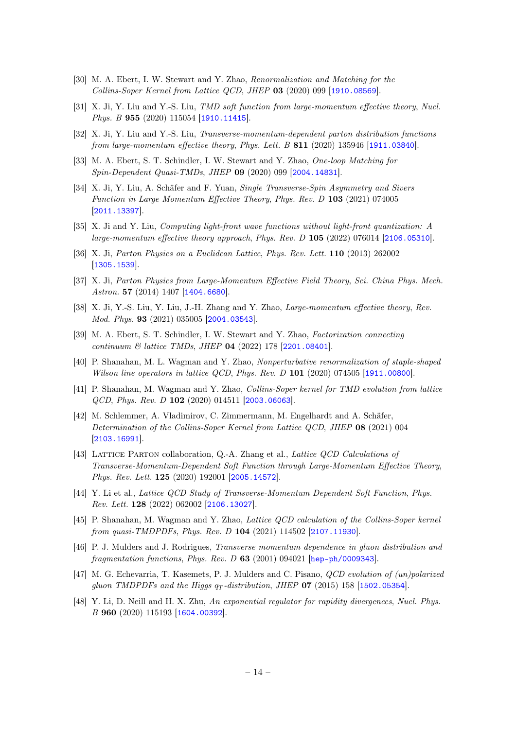- [30] M. A. Ebert, I. W. Stewart and Y. Zhao, Renormalization and Matching for the Collins-Soper Kernel from Lattice QCD, JHEP 03 (2020) 099 [[1910.08569](https://arxiv.org/abs/1910.08569)].
- <span id="page-14-3"></span>[31] X. Ji, Y. Liu and Y.-S. Liu, TMD soft function from large-momentum effective theory, Nucl. Phys. B 955 (2020) 115054 [[1910.11415](https://arxiv.org/abs/1910.11415)].
- <span id="page-14-4"></span>[32] X. Ji, Y. Liu and Y.-S. Liu, Transverse-momentum-dependent parton distribution functions from large-momentum effective theory, Phys. Lett. B  $811$  (2020) 135946 [[1911.03840](https://arxiv.org/abs/1911.03840)].
- [33] M. A. Ebert, S. T. Schindler, I. W. Stewart and Y. Zhao, One-loop Matching for Spin-Dependent Quasi-TMDs, JHEP 09 (2020) 099 [[2004.14831](https://arxiv.org/abs/2004.14831)].
- [34] X. Ji, Y. Liu, A. Schäfer and F. Yuan, Single Transverse-Spin Asymmetry and Sivers Function in Large Momentum Effective Theory, Phys. Rev. D 103 (2021) 074005 [[2011.13397](https://arxiv.org/abs/2011.13397)].
- <span id="page-14-0"></span>[35] X. Ji and Y. Liu, Computing light-front wave functions without light-front quantization: A large-momentum effective theory approach, Phys. Rev. D 105 (2022) 076014 [[2106.05310](https://arxiv.org/abs/2106.05310)].
- <span id="page-14-1"></span>[36] X. Ji, Parton Physics on a Euclidean Lattice, Phys. Rev. Lett. 110 (2013) 262002 [[1305.1539](https://arxiv.org/abs/1305.1539)].
- [37] X. Ji, Parton Physics from Large-Momentum Effective Field Theory, Sci. China Phys. Mech. Astron. **57** (2014) 1407 [[1404.6680](https://arxiv.org/abs/1404.6680)].
- <span id="page-14-2"></span>[38] X. Ji, Y.-S. Liu, Y. Liu, J.-H. Zhang and Y. Zhao, Large-momentum effective theory, Rev. Mod. Phys. 93 (2021) 035005 [[2004.03543](https://arxiv.org/abs/2004.03543)].
- <span id="page-14-5"></span>[39] M. A. Ebert, S. T. Schindler, I. W. Stewart and Y. Zhao, Factorization connecting continuum & lattice TMDs, JHEP 04 (2022) 178 [[2201.08401](https://arxiv.org/abs/2201.08401)].
- <span id="page-14-6"></span>[40] P. Shanahan, M. L. Wagman and Y. Zhao, Nonperturbative renormalization of staple-shaped Wilson line operators in lattice QCD, Phys. Rev. D  $101$  (2020) 074505 [[1911.00800](https://arxiv.org/abs/1911.00800)].
- [41] P. Shanahan, M. Wagman and Y. Zhao, Collins-Soper kernel for TMD evolution from lattice  $QCD$ , *Phys. Rev. D* 102 (2020) 014511 [[2003.06063](https://arxiv.org/abs/2003.06063)].
- [42] M. Schlemmer, A. Vladimirov, C. Zimmermann, M. Engelhardt and A. Schäfer, Determination of the Collins-Soper Kernel from Lattice QCD, JHEP 08 (2021) 004 [[2103.16991](https://arxiv.org/abs/2103.16991)].
- <span id="page-14-8"></span>[43] Lattice Parton collaboration, Q.-A. Zhang et al., Lattice QCD Calculations of Transverse-Momentum-Dependent Soft Function through Large-Momentum Effective Theory, Phys. Rev. Lett. 125 (2020) 192001 [[2005.14572](https://arxiv.org/abs/2005.14572)].
- <span id="page-14-9"></span>[44] Y. Li et al., Lattice QCD Study of Transverse-Momentum Dependent Soft Function, Phys. Rev. Lett. 128 (2022) 062002 [[2106.13027](https://arxiv.org/abs/2106.13027)].
- <span id="page-14-7"></span>[45] P. Shanahan, M. Wagman and Y. Zhao, Lattice QCD calculation of the Collins-Soper kernel from quasi-TMDPDFs, Phys. Rev. D 104 (2021) 114502 [[2107.11930](https://arxiv.org/abs/2107.11930)].
- <span id="page-14-11"></span>[46] P. J. Mulders and J. Rodrigues, Transverse momentum dependence in gluon distribution and fragmentation functions, Phys. Rev. D  $63$  (2001) 094021 [[hep-ph/0009343](https://arxiv.org/abs/hep-ph/0009343)].
- <span id="page-14-12"></span>[47] M. G. Echevarria, T. Kasemets, P. J. Mulders and C. Pisano, QCD evolution of (un)polarized gluon TMDPDFs and the Higgs  $q_T$ -distribution, JHEP 07 (2015) 158 [[1502.05354](https://arxiv.org/abs/1502.05354)].
- <span id="page-14-10"></span>[48] Y. Li, D. Neill and H. X. Zhu, An exponential regulator for rapidity divergences, Nucl. Phys. B 960 (2020) 115193 [[1604.00392](https://arxiv.org/abs/1604.00392)].